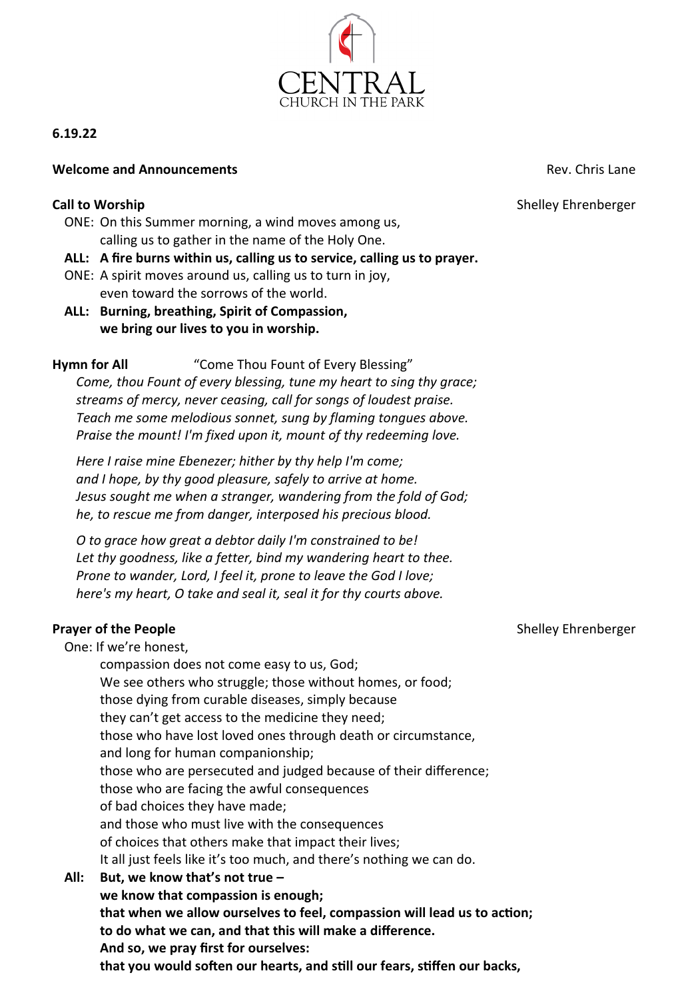

# **6.19.22**

## **Welcome and Announcements Rev. Chris Lane Rev. Chris Lane**

### **Call to Worship Call to Worship** *Shelley Ehrenberger* **Shelley Ehrenberger**

- ONE: On this Summer morning, a wind moves among us, calling us to gather in the name of the Holy One.
- **ALL: A fire burns within us, calling us to service, calling us to prayer.**
- ONE: A spirit moves around us, calling us to turn in joy, even toward the sorrows of the world.
- **ALL: Burning, breathing, Spirit of Compassion, we bring our lives to you in worship.**

# **Hymn for All** "Come Thou Fount of Every Blessing"

*Come, thou Fount of every blessing, tune my heart to sing thy grace; streams of mercy, never ceasing, call for songs of loudest praise. Teach me some melodious sonnet, sung by flaming tongues above. Praise the mount! I'm fixed upon it, mount of thy redeeming love.*

*Here I raise mine Ebenezer; hither by thy help I'm come; and I hope, by thy good pleasure, safely to arrive at home. Jesus sought me when a stranger, wandering from the fold of God; he, to rescue me from danger, interposed his precious blood.*

*O to grace how great a debtor daily I'm constrained to be! Let thy goodness, like a fetter, bind my wandering heart to thee. Prone to wander, Lord, I feel it, prone to leave the God I love; here's my heart, O take and seal it, seal it for thy courts above.*

# **Prayer of the People Shelley Ehrenberger Shelley Ehrenberger Shelley Ehrenberger**

One: If we're honest,

compassion does not come easy to us, God; We see others who struggle; those without homes, or food; those dying from curable diseases, simply because they can't get access to the medicine they need; those who have lost loved ones through death or circumstance, and long for human companionship; those who are persecuted and judged because of their difference; those who are facing the awful consequences of bad choices they have made; and those who must live with the consequences of choices that others make that impact their lives; It all just feels like it's too much, and there's nothing we can do. **All: But, we know that's not true – we know that compassion is enough; that when we allow ourselves to feel, compassion will lead us to action; to do what we can, and that this will make a difference. And so, we pray first for ourselves:**

**that you would soften our hearts, and still our fears, stiffen our backs,**